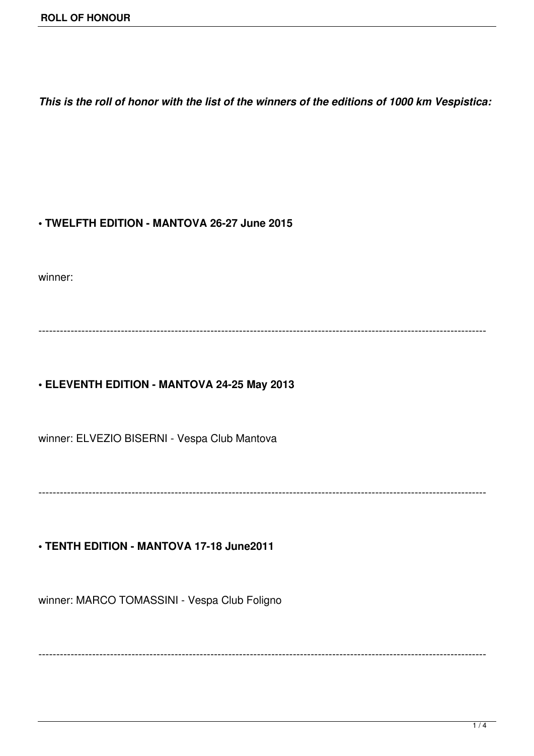*This is the roll of honor with the list of the winners of the editions of 1000 km Vespistica:*

#### **• TWELFTH EDITION - MANTOVA 26-27 June 2015**

winner:

-----------------------------------------------------------------------------------------------------------------------------

# **• ELEVENTH EDITION - MANTOVA 24-25 May 2013**

winner: ELVEZIO BISERNI - Vespa Club Mantova

-----------------------------------------------------------------------------------------------------------------------------

 $-1-\frac{1}{2}$ 

#### **• TENTH EDITION - MANTOVA 17-18 June2011**

winner: MARCO TOMASSINI - Vespa Club Foligno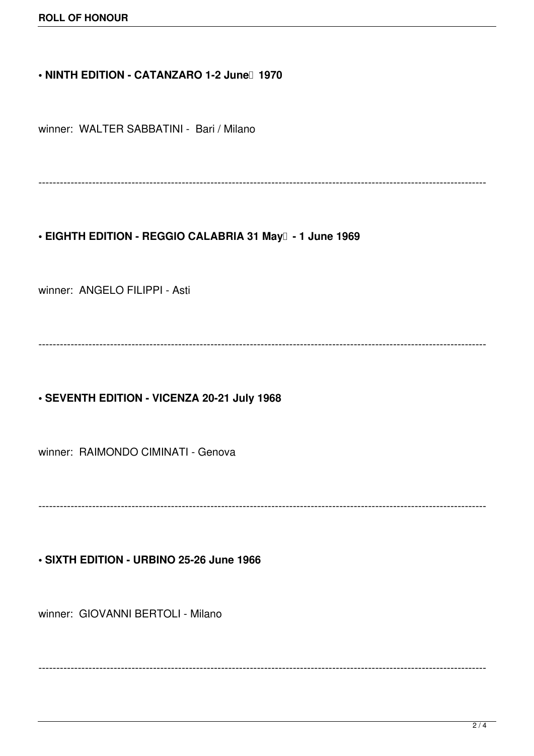## • NINTH EDITION - CATANZARO 1-2 June<sup>[1]</sup> 1970

winner: WALTER SABBATINI - Bari / Milano

-----------------------------------------------------------------------------------------------------------------------------

• EIGHTH EDITION - REGGIO CALABRIA 31 May<sup>1</sup> - 1 June 1969

winner: ANGELO FILIPPI - Asti

-----------------------------------------------------------------------------------------------------------------------------

**• SEVENTH EDITION - VICENZA 20-21 July 1968**

winner: RAIMONDO CIMINATI - Genova

-----------------------------------------------------------------------------------------------------------------------------

**• SIXTH EDITION - URBINO 25-26 June 1966**

winner: GIOVANNI BERTOLI - Milano

-----------------------------------------------------------------------------------------------------------------------------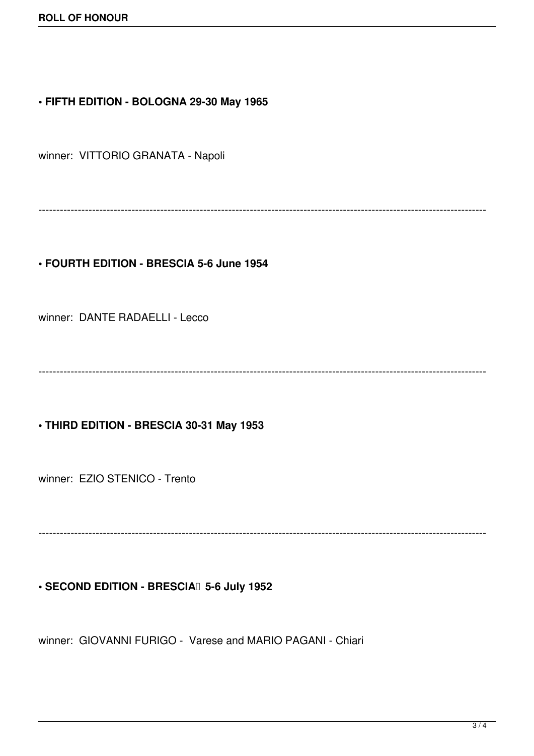#### **• FIFTH EDITION - BOLOGNA 29-30 May 1965**

winner: VITTORIO GRANATA - Napoli

-----------------------------------------------------------------------------------------------------------------------------

## **• FOURTH EDITION - BRESCIA 5-6 June 1954**

winner: DANTE RADAELLI - Lecco

-----------------------------------------------------------------------------------------------------------------------------

#### **• THIRD EDITION - BRESCIA 30-31 May 1953**

winner: EZIO STENICO - Trento

-----------------------------------------------------------------------------------------------------------------------------

#### **• SECOND EDITION - BRESCIA** 5-6 July 1952

winner: GIOVANNI FURIGO - Varese and MARIO PAGANI - Chiari